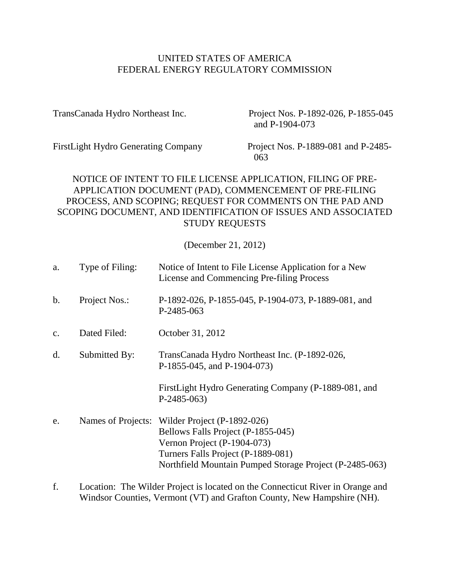#### UNITED STATES OF AMERICA FEDERAL ENERGY REGULATORY COMMISSION

TransCanada Hydro Northeast Inc. Project Nos. P-1892-026, P-1855-045 and P-1904-073

FirstLight Hydro Generating Company Project Nos. P-1889-081 and P-2485-

063

# NOTICE OF INTENT TO FILE LICENSE APPLICATION, FILING OF PRE-APPLICATION DOCUMENT (PAD), COMMENCEMENT OF PRE-FILING PROCESS, AND SCOPING; REQUEST FOR COMMENTS ON THE PAD AND SCOPING DOCUMENT, AND IDENTIFICATION OF ISSUES AND ASSOCIATED STUDY REQUESTS

(December 21, 2012)

| a.             | Type of Filing:    | Notice of Intent to File License Application for a New<br>License and Commencing Pre-filing Process                                                                                               |
|----------------|--------------------|---------------------------------------------------------------------------------------------------------------------------------------------------------------------------------------------------|
| b.             | Project Nos.:      | P-1892-026, P-1855-045, P-1904-073, P-1889-081, and<br>P-2485-063                                                                                                                                 |
| $\mathbf{C}$ . | Dated Filed:       | October 31, 2012                                                                                                                                                                                  |
| d.             | Submitted By:      | TransCanada Hydro Northeast Inc. (P-1892-026,<br>P-1855-045, and P-1904-073)                                                                                                                      |
|                |                    | FirstLight Hydro Generating Company (P-1889-081, and<br>$P-2485-063$                                                                                                                              |
| e.             | Names of Projects: | Wilder Project (P-1892-026)<br>Bellows Falls Project (P-1855-045)<br>Vernon Project (P-1904-073)<br>Turners Falls Project (P-1889-081)<br>Northfield Mountain Pumped Storage Project (P-2485-063) |

f. Location: The Wilder Project is located on the Connecticut River in Orange and Windsor Counties, Vermont (VT) and Grafton County, New Hampshire (NH).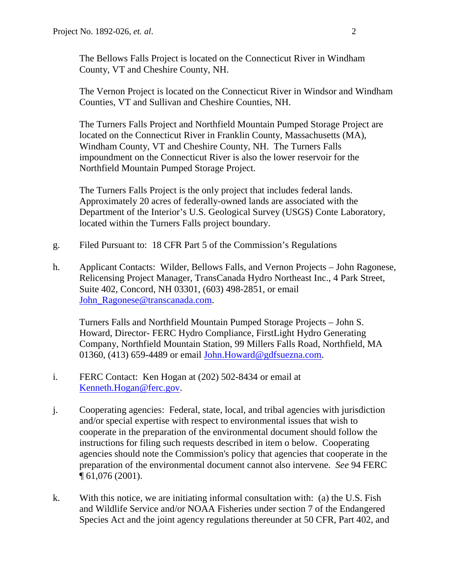The Bellows Falls Project is located on the Connecticut River in Windham County, VT and Cheshire County, NH.

The Vernon Project is located on the Connecticut River in Windsor and Windham Counties, VT and Sullivan and Cheshire Counties, NH.

The Turners Falls Project and Northfield Mountain Pumped Storage Project are located on the Connecticut River in Franklin County, Massachusetts (MA), Windham County, VT and Cheshire County, NH. The Turners Falls impoundment on the Connecticut River is also the lower reservoir for the Northfield Mountain Pumped Storage Project.

The Turners Falls Project is the only project that includes federal lands. Approximately 20 acres of federally-owned lands are associated with the Department of the Interior's U.S. Geological Survey (USGS) Conte Laboratory, located within the Turners Falls project boundary.

- g. Filed Pursuant to: 18 CFR Part 5 of the Commission's Regulations
- h. Applicant Contacts: Wilder, Bellows Falls, and Vernon Projects John Ragonese, Relicensing Project Manager, TransCanada Hydro Northeast Inc., 4 Park Street, Suite 402, Concord, NH 03301, (603) 498-2851, or email John Ragonese@transcanada.com.

Turners Falls and Northfield Mountain Pumped Storage Projects – John S. Howard, Director- FERC Hydro Compliance, FirstLight Hydro Generating Company, Northfield Mountain Station, 99 Millers Falls Road, Northfield, MA 01360, (413) 659-4489 or email  $John.Howard$ @gdfsuezna.com.

- i. FERC Contact: Ken Hogan at (202) 502-8434 or email at [Kenneth.Hogan@ferc.gov.](mailto:Kenneth.Hogan@ferc.gov)
- j. Cooperating agencies: Federal, state, local, and tribal agencies with jurisdiction and/or special expertise with respect to environmental issues that wish to cooperate in the preparation of the environmental document should follow the instructions for filing such requests described in item o below. Cooperating agencies should note the Commission's policy that agencies that cooperate in the preparation of the environmental document cannot also intervene. *See* 94 FERC ¶ 61,076 (2001).
- k. With this notice, we are initiating informal consultation with: (a) the U.S. Fish and Wildlife Service and/or NOAA Fisheries under section 7 of the Endangered Species Act and the joint agency regulations thereunder at 50 CFR, Part 402, and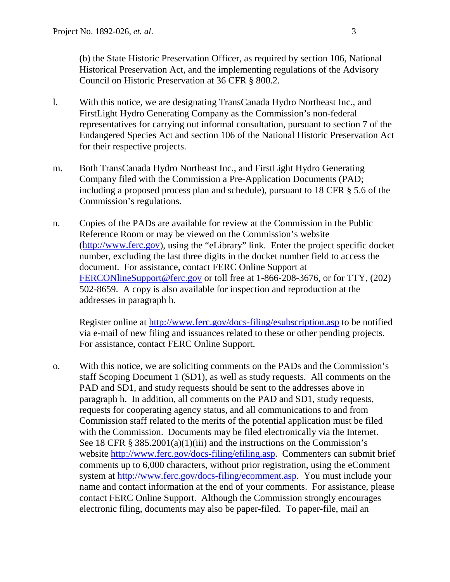(b) the State Historic Preservation Officer, as required by section 106, National Historical Preservation Act, and the implementing regulations of the Advisory Council on Historic Preservation at 36 CFR § 800.2.

- l. With this notice, we are designating TransCanada Hydro Northeast Inc., and FirstLight Hydro Generating Company as the Commission's non-federal representatives for carrying out informal consultation, pursuant to section 7 of the Endangered Species Act and section 106 of the National Historic Preservation Act for their respective projects.
- m. Both TransCanada Hydro Northeast Inc., and FirstLight Hydro Generating Company filed with the Commission a Pre-Application Documents (PAD; including a proposed process plan and schedule), pursuant to 18 CFR § 5.6 of the Commission's regulations.
- n. Copies of the PADs are available for review at the Commission in the Public Reference Room or may be viewed on the Commission's website [\(http://www.ferc.gov\)](http://www.ferc.gov/), using the "eLibrary" link. Enter the project specific docket number, excluding the last three digits in the docket number field to access the document. For assistance, contact FERC Online Support at [FERCONlineSupport@ferc.gov](mailto:FERCONlineSupport@ferc.gov) or toll free at 1-866-208-3676, or for TTY, (202) 502-8659. A copy is also available for inspection and reproduction at the addresses in paragraph h.

Register online at<http://www.ferc.gov/docs-filing/esubscription.asp> to be notified via e-mail of new filing and issuances related to these or other pending projects. For assistance, contact FERC Online Support.

o. With this notice, we are soliciting comments on the PADs and the Commission's staff Scoping Document 1 (SD1), as well as study requests. All comments on the PAD and SD1, and study requests should be sent to the addresses above in paragraph h. In addition, all comments on the PAD and SD1, study requests, requests for cooperating agency status, and all communications to and from Commission staff related to the merits of the potential application must be filed with the Commission. Documents may be filed electronically via the Internet. See 18 CFR § 385.2001(a)(1)(iii) and the instructions on the Commission's website [http://www.ferc.gov/docs-filing/efiling.asp.](http://www.ferc.gov/docs-filing/efiling.asp) Commenters can submit brief comments up to 6,000 characters, without prior registration, using the eComment system at [http://www.ferc.gov/docs-filing/ecomment.asp.](http://www.ferc.gov/docs-filing/ecomment.asp) You must include your name and contact information at the end of your comments. For assistance, please contact FERC Online Support. Although the Commission strongly encourages electronic filing, documents may also be paper-filed. To paper-file, mail an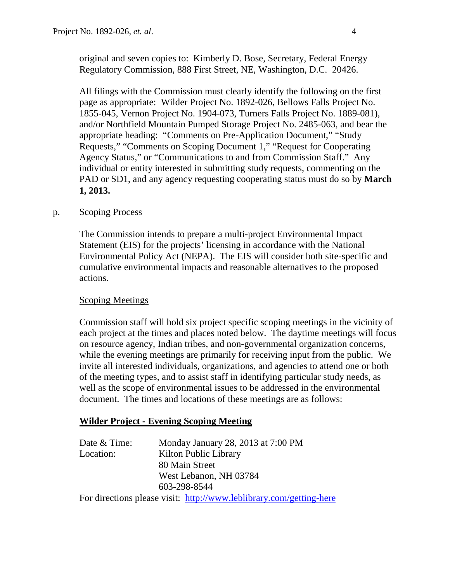original and seven copies to: Kimberly D. Bose, Secretary, Federal Energy Regulatory Commission, 888 First Street, NE, Washington, D.C. 20426.

All filings with the Commission must clearly identify the following on the first page as appropriate: Wilder Project No. 1892-026, Bellows Falls Project No. 1855-045, Vernon Project No. 1904-073, Turners Falls Project No. 1889-081), and/or Northfield Mountain Pumped Storage Project No. 2485-063, and bear the appropriate heading: "Comments on Pre-Application Document," "Study Requests," "Comments on Scoping Document 1," "Request for Cooperating Agency Status," or "Communications to and from Commission Staff." Any individual or entity interested in submitting study requests, commenting on the PAD or SD1, and any agency requesting cooperating status must do so by **March 1, 2013.**

## p. Scoping Process

The Commission intends to prepare a multi-project Environmental Impact Statement (EIS) for the projects' licensing in accordance with the National Environmental Policy Act (NEPA). The EIS will consider both site-specific and cumulative environmental impacts and reasonable alternatives to the proposed actions.

#### Scoping Meetings

Commission staff will hold six project specific scoping meetings in the vicinity of each project at the times and places noted below. The daytime meetings will focus on resource agency, Indian tribes, and non-governmental organization concerns, while the evening meetings are primarily for receiving input from the public. We invite all interested individuals, organizations, and agencies to attend one or both of the meeting types, and to assist staff in identifying particular study needs, as well as the scope of environmental issues to be addressed in the environmental document. The times and locations of these meetings are as follows:

#### **Wilder Project - Evening Scoping Meeting**

| Date & Time: | Monday January 28, 2013 at 7:00 PM                                  |
|--------------|---------------------------------------------------------------------|
| Location:    | Kilton Public Library                                               |
|              | 80 Main Street                                                      |
|              | West Lebanon, NH 03784                                              |
|              | 603-298-8544                                                        |
|              | For directions please visit: http://www.leblibrary.com/getting-here |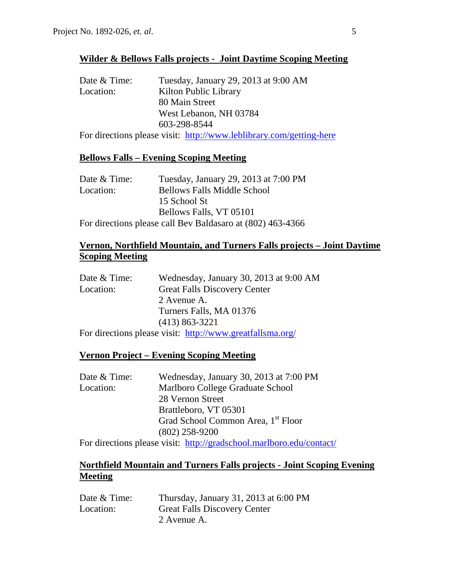# **Wilder & Bellows Falls projects - Joint Daytime Scoping Meeting**

| Date & Time: | Tuesday, January 29, 2013 at 9:00 AM |
|--------------|--------------------------------------|
| Location:    | Kilton Public Library                |
|              | 80 Main Street                       |
|              | West Lebanon, NH 03784               |
|              | 603-298-8544                         |
|              |                                      |

For directions please visit: <http://www.leblibrary.com/getting-here>

#### **Bellows Falls – Evening Scoping Meeting**

| Date & Time: | Tuesday, January 29, 2013 at 7:00 PM                       |
|--------------|------------------------------------------------------------|
| Location:    | <b>Bellows Falls Middle School</b>                         |
|              | 15 School St                                               |
|              | Bellows Falls, VT 05101                                    |
|              | For directions please call Bev Baldasaro at (802) 463-4366 |

# **Vernon, Northfield Mountain, and Turners Falls projects – Joint Daytime Scoping Meeting**

| Date & Time: | Wednesday, January 30, 2013 at 9:00 AM                            |
|--------------|-------------------------------------------------------------------|
| Location:    | <b>Great Falls Discovery Center</b>                               |
|              | 2 Avenue A.                                                       |
|              | Turners Falls, MA 01376                                           |
|              | $(413) 863 - 3221$                                                |
|              | $\Gamma$ an dinastiana plagaa visity letty //www.anathallama.ona/ |

For directions please visit: <http://www.greatfallsma.org/>

#### **Vernon Project – Evening Scoping Meeting**

| Date & Time: | Wednesday, January 30, 2013 at 7:00 PM                                                                                                                                                                                                                                                                      |
|--------------|-------------------------------------------------------------------------------------------------------------------------------------------------------------------------------------------------------------------------------------------------------------------------------------------------------------|
| Location:    | Marlboro College Graduate School                                                                                                                                                                                                                                                                            |
|              | 28 Vernon Street                                                                                                                                                                                                                                                                                            |
|              | Brattleboro, VT 05301                                                                                                                                                                                                                                                                                       |
|              | Grad School Common Area, 1 <sup>st</sup> Floor                                                                                                                                                                                                                                                              |
|              | $(802)$ 258-9200                                                                                                                                                                                                                                                                                            |
|              | $\mathbf{r}$ 1 $\mathbf{r}$ 1 $\mathbf{r}$ 1 $\mathbf{r}$ 1 $\mathbf{r}$ 1 $\mathbf{r}$ 1 $\mathbf{r}$ 1 $\mathbf{r}$ 1 $\mathbf{r}$ 1 $\mathbf{r}$ 1 $\mathbf{r}$ 1 $\mathbf{r}$ 1 $\mathbf{r}$ 1 $\mathbf{r}$ 1 $\mathbf{r}$ 1 $\mathbf{r}$ 1 $\mathbf{r}$ 1 $\mathbf{r}$ 1 $\mathbf{r}$ 1 $\mathbf{r}$ 1 |

For directions please visit: <http://gradschool.marlboro.edu/contact/>

# **Northfield Mountain and Turners Falls projects - Joint Scoping Evening Meeting**

| Date & Time: | Thursday, January 31, 2013 at 6:00 PM |
|--------------|---------------------------------------|
| Location:    | <b>Great Falls Discovery Center</b>   |
|              | 2 Avenue A.                           |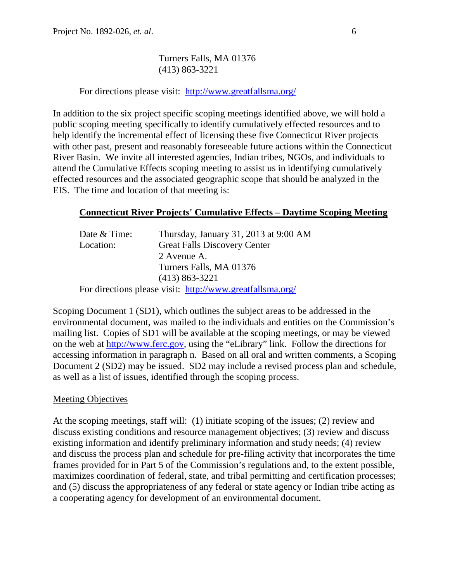## Turners Falls, MA 01376 (413) 863-3221

## For directions please visit: <http://www.greatfallsma.org/>

In addition to the six project specific scoping meetings identified above, we will hold a public scoping meeting specifically to identify cumulatively effected resources and to help identify the incremental effect of licensing these five Connecticut River projects with other past, present and reasonably foreseeable future actions within the Connecticut River Basin. We invite all interested agencies, Indian tribes, NGOs, and individuals to attend the Cumulative Effects scoping meeting to assist us in identifying cumulatively effected resources and the associated geographic scope that should be analyzed in the EIS. The time and location of that meeting is:

## **Connecticut River Projects' Cumulative Effects – Daytime Scoping Meeting**

| Date & Time: | Thursday, January 31, 2013 at 9:00 AM                     |
|--------------|-----------------------------------------------------------|
| Location:    | <b>Great Falls Discovery Center</b>                       |
|              | 2 Avenue A.                                               |
|              | Turners Falls, MA 01376                                   |
|              | $(413) 863 - 3221$                                        |
|              | For directions please visit: http://www.greatfallsma.org/ |

Scoping Document 1 (SD1), which outlines the subject areas to be addressed in the environmental document, was mailed to the individuals and entities on the Commission's mailing list. Copies of SD1 will be available at the scoping meetings, or may be viewed on the web at [http://www.ferc.gov,](http://www.ferc.gov/) using the "eLibrary" link. Follow the directions for accessing information in paragraph n. Based on all oral and written comments, a Scoping Document 2 (SD2) may be issued. SD2 may include a revised process plan and schedule, as well as a list of issues, identified through the scoping process.

#### Meeting Objectives

At the scoping meetings, staff will: (1) initiate scoping of the issues; (2) review and discuss existing conditions and resource management objectives; (3) review and discuss existing information and identify preliminary information and study needs; (4) review and discuss the process plan and schedule for pre-filing activity that incorporates the time frames provided for in Part 5 of the Commission's regulations and, to the extent possible, maximizes coordination of federal, state, and tribal permitting and certification processes; and (5) discuss the appropriateness of any federal or state agency or Indian tribe acting as a cooperating agency for development of an environmental document.